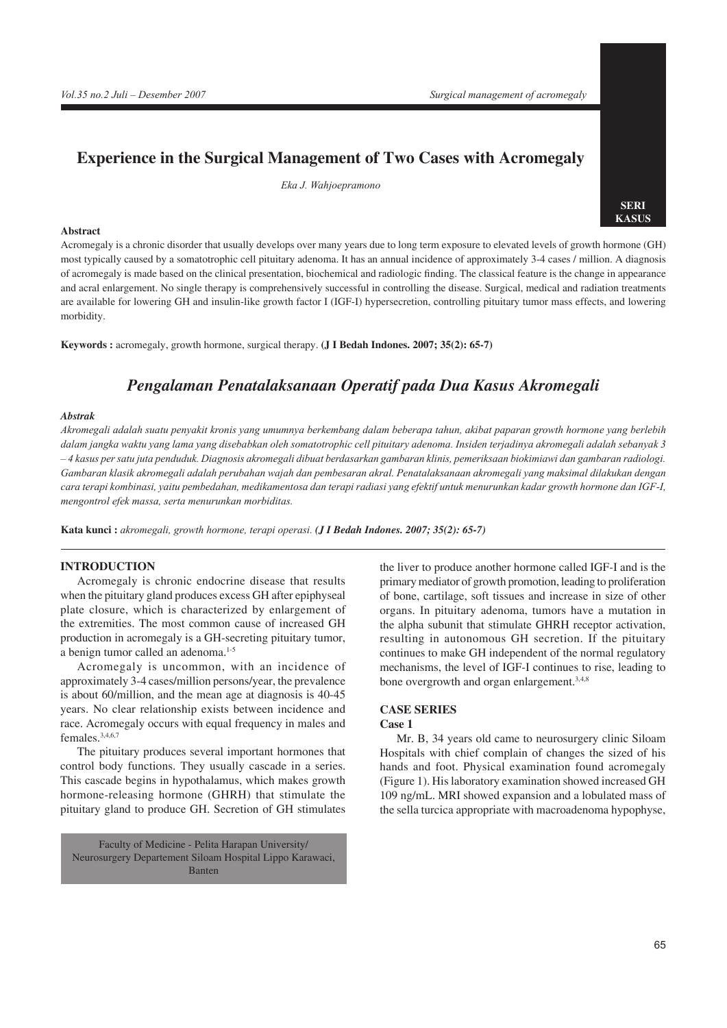# **Experience in the Surgical Management of Two Cases with Acromegaly**

*Eka J. Wahjoepramono*

#### **Abstract**

**SERI KASUS**

Acromegaly is a chronic disorder that usually develops over many years due to long term exposure to elevated levels of growth hormone (GH) most typically caused by a somatotrophic cell pituitary adenoma. It has an annual incidence of approximately 3-4 cases / million. A diagnosis of acromegaly is made based on the clinical presentation, biochemical and radiologic fnding. The classical feature is the change in appearance and acral enlargement. No single therapy is comprehensively successful in controlling the disease. Surgical, medical and radiation treatments are available for lowering GH and insulin-like growth factor I (IGF-I) hypersecretion, controlling pituitary tumor mass effects, and lowering morbidity.

**Keywords :** acromegaly, growth hormone, surgical therapy. **(J I Bedah Indones. 2007; 35(2): 65-7)**

## *Pengalaman Penatalaksanaan Operatif pada Dua Kasus Akromegali*

#### *Abstrak*

*Akromegali adalah suatu penyakit kronis yang umumnya berkembang dalam beberapa tahun, akibat paparan growth hormone yang berlebih dalam jangka waktu yang lama yang disebabkan oleh somatotrophic cell pituitary adenoma. Insiden terjadinya akromegali adalah sebanyak 3 – 4 kasus per satu juta penduduk. Diagnosis akromegali dibuat berdasarkan gambaran klinis, pemeriksaan biokimiawi dan gambaran radiologi. Gambaran klasik akromegali adalah perubahan wajah dan pembesaran akral. Penatalaksanaan akromegali yang maksimal dilakukan dengan cara terapi kombinasi, yaitu pembedahan, medikamentosa dan terapi radiasi yang efektif untuk menurunkan kadar growth hormone dan IGF-I, mengontrol efek massa, serta menurunkan morbiditas.* 

**Kata kunci :** *akromegali, growth hormone, terapi operasi. (J I Bedah Indones. 2007; 35(2): 65-7)*

## **INTRODUCTION**

Acromegaly is chronic endocrine disease that results when the pituitary gland produces excess GH after epiphyseal plate closure, which is characterized by enlargement of the extremities. The most common cause of increased GH production in acromegaly is a GH-secreting pituitary tumor, a benign tumor called an adenoma.<sup>1-5</sup>

Acromegaly is uncommon, with an incidence of approximately 3-4 cases/million persons/year, the prevalence is about 60/million, and the mean age at diagnosis is 40-45 years. No clear relationship exists between incidence and race. Acromegaly occurs with equal frequency in males and females.3,4,6,7

The pituitary produces several important hormones that control body functions. They usually cascade in a series. This cascade begins in hypothalamus, which makes growth hormone-releasing hormone (GHRH) that stimulate the pituitary gland to produce GH. Secretion of GH stimulates

Faculty of Medicine - Pelita Harapan University/ Neurosurgery Departement Siloam Hospital Lippo Karawaci, Banten

the liver to produce another hormone called IGF-I and is the primary mediator of growth promotion, leading to proliferation of bone, cartilage, soft tissues and increase in size of other organs. In pituitary adenoma, tumors have a mutation in the alpha subunit that stimulate GHRH receptor activation, resulting in autonomous GH secretion. If the pituitary continues to make GH independent of the normal regulatory mechanisms, the level of IGF-I continues to rise, leading to bone overgrowth and organ enlargement.<sup>3,4,8</sup>

## **CASE SERIES**

## **Case 1**

Mr. B, 34 years old came to neurosurgery clinic Siloam Hospitals with chief complain of changes the sized of his hands and foot. Physical examination found acromegaly (Figure 1). His laboratory examination showed increased GH 109 ng/mL. MRI showed expansion and a lobulated mass of the sella turcica appropriate with macroadenoma hypophyse,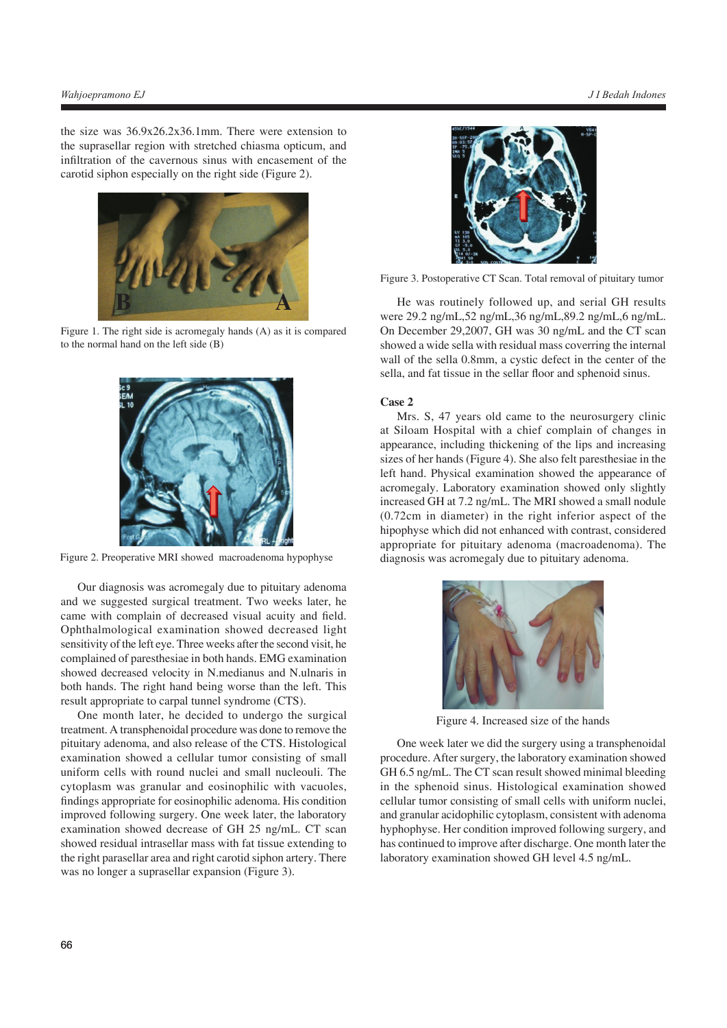the size was 36.9x26.2x36.1mm. There were extension to the suprasellar region with stretched chiasma opticum, and infltration of the cavernous sinus with encasement of the carotid siphon especially on the right side (Figure 2).



Figure 1. The right side is acromegaly hands (A) as it is compared to the normal hand on the left side (B)



Figure 2. Preoperative MRI showed macroadenoma hypophyse

Our diagnosis was acromegaly due to pituitary adenoma and we suggested surgical treatment. Two weeks later, he came with complain of decreased visual acuity and feld. Ophthalmological examination showed decreased light sensitivity of the left eye. Three weeks after the second visit, he complained of paresthesiae in both hands. EMG examination showed decreased velocity in N.medianus and N.ulnaris in both hands. The right hand being worse than the left. This result appropriate to carpal tunnel syndrome (CTS).

One month later, he decided to undergo the surgical treatment. A transphenoidal procedure was done to remove the pituitary adenoma, and also release of the CTS. Histological examination showed a cellular tumor consisting of small uniform cells with round nuclei and small nucleouli. The cytoplasm was granular and eosinophilic with vacuoles, fndings appropriate for eosinophilic adenoma. His condition improved following surgery. One week later, the laboratory examination showed decrease of GH 25 ng/mL. CT scan showed residual intrasellar mass with fat tissue extending to the right parasellar area and right carotid siphon artery. There was no longer a suprasellar expansion (Figure 3).



Figure 3. Postoperative CT Scan. Total removal of pituitary tumor

He was routinely followed up, and serial GH results were 29.2 ng/mL,52 ng/mL,36 ng/mL,89.2 ng/mL,6 ng/mL. On December 29,2007, GH was 30 ng/mL and the CT scan showed a wide sella with residual mass coverring the internal wall of the sella 0.8mm, a cystic defect in the center of the sella, and fat tissue in the sellar floor and sphenoid sinus.

### **Case 2**

Mrs. S, 47 years old came to the neurosurgery clinic at Siloam Hospital with a chief complain of changes in appearance, including thickening of the lips and increasing sizes of her hands (Figure 4). She also felt paresthesiae in the left hand. Physical examination showed the appearance of acromegaly. Laboratory examination showed only slightly increased GH at 7.2 ng/mL. The MRI showed a small nodule (0.72cm in diameter) in the right inferior aspect of the hipophyse which did not enhanced with contrast, considered appropriate for pituitary adenoma (macroadenoma). The diagnosis was acromegaly due to pituitary adenoma.



Figure 4. Increased size of the hands

One week later we did the surgery using a transphenoidal procedure. After surgery, the laboratory examination showed GH 6.5 ng/mL. The CT scan result showed minimal bleeding in the sphenoid sinus. Histological examination showed cellular tumor consisting of small cells with uniform nuclei, and granular acidophilic cytoplasm, consistent with adenoma hyphophyse. Her condition improved following surgery, and has continued to improve after discharge. One month later the laboratory examination showed GH level 4.5 ng/mL.